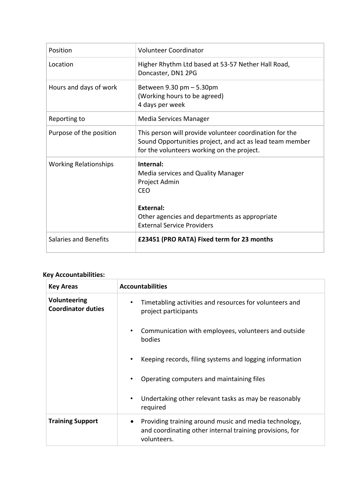| Position                     | Volunteer Coordinator                                                                                                                                                      |
|------------------------------|----------------------------------------------------------------------------------------------------------------------------------------------------------------------------|
| Location                     | Higher Rhythm Ltd based at 53-57 Nether Hall Road,<br>Doncaster, DN1 2PG                                                                                                   |
| Hours and days of work       | Between $9.30$ pm $-5.30$ pm<br>(Working hours to be agreed)<br>4 days per week                                                                                            |
| Reporting to                 | Media Services Manager                                                                                                                                                     |
| Purpose of the position      | This person will provide volunteer coordination for the<br>Sound Opportunities project, and act as lead team member<br>for the volunteers working on the project.          |
| <b>Working Relationships</b> | Internal:<br>Media services and Quality Manager<br>Project Admin<br>CEO<br>External:<br>Other agencies and departments as appropriate<br><b>External Service Providers</b> |
| Salaries and Benefits        | £23451 (PRO RATA) Fixed term for 23 months                                                                                                                                 |

## **Key Accountabilities:**

| <b>Key Areas</b>                          | <b>Accountabilities</b>                                                                                                                       |
|-------------------------------------------|-----------------------------------------------------------------------------------------------------------------------------------------------|
| Volunteering<br><b>Coordinator duties</b> | Timetabling activities and resources for volunteers and<br>project participants                                                               |
|                                           | Communication with employees, volunteers and outside<br>bodies                                                                                |
|                                           | Keeping records, filing systems and logging information                                                                                       |
|                                           | Operating computers and maintaining files                                                                                                     |
|                                           | Undertaking other relevant tasks as may be reasonably<br>٠<br>required                                                                        |
| <b>Training Support</b>                   | Providing training around music and media technology,<br>$\bullet$<br>and coordinating other internal training provisions, for<br>volunteers. |